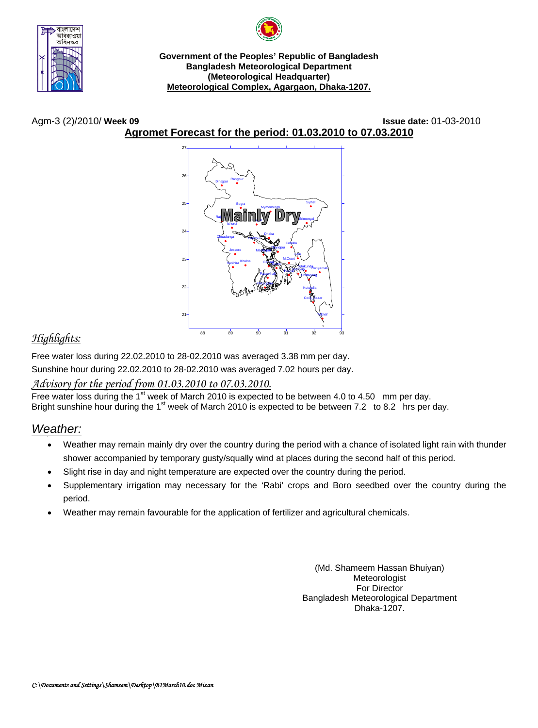

**Government of the Peoples' Republic of Bangladesh Bangladesh Meteorological Department (Meteorological Headquarter) Meteorological Complex, Agargaon, Dhaka-1207.**

Agm-3 (2)/2010/ **Week 09 Issue date:** 01-03-2010

**Agromet Forecast for the period: 01.03.2010 to 07.03.2010**



# *Highlights:*

Free water loss during 22.02.2010 to 28-02.2010 was averaged 3.38 mm per day.

Sunshine hour during 22.02.2010 to 28-02.2010 was averaged 7.02 hours per day.

## *Advisory for the period from 01.03.2010 to 07.03.2010.*

Free water loss during the 1<sup>st</sup> week of March 2010 is expected to be between 4.0 to 4.50 mm per day. Bright sunshine hour during the 1<sup>st</sup> week of March 2010 is expected to be between 7.2 to 8.2 hrs per day.

## *Weather:*

- Weather may remain mainly dry over the country during the period with a chance of isolated light rain with thunder shower accompanied by temporary gusty/squally wind at places during the second half of this period.
- Slight rise in day and night temperature are expected over the country during the period.
- Supplementary irrigation may necessary for the 'Rabi' crops and Boro seedbed over the country during the period.
- Weather may remain favourable for the application of fertilizer and agricultural chemicals.

(Md. Shameem Hassan Bhuiyan) Meteorologist For Director Bangladesh Meteorological Department Dhaka-1207.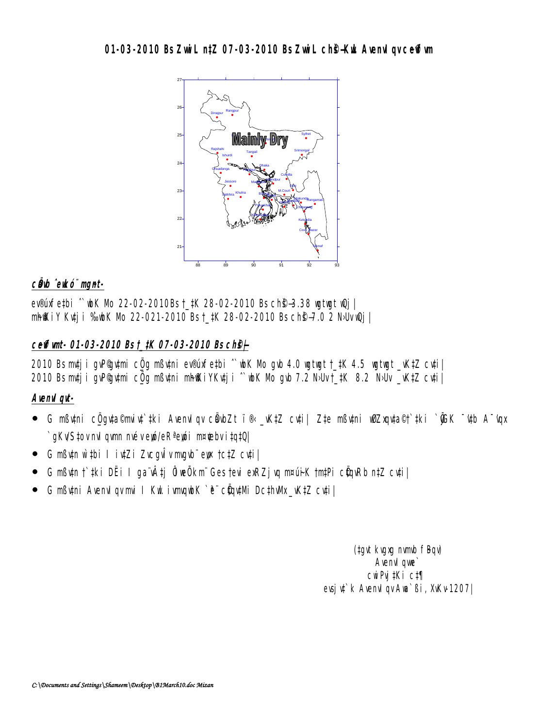### **01-03-2010 Bs ZwiL ntZ 07-03-2010 Bs ZwiL ch@-KuL AvenuI av ceffivm**



#### c**Ö**ub ̂eukó¨ mgnt-

ev®úxfe#bi ^`wbK Mb 22-02-2010Bs †\_#K 28-02-2010 Bs ch**©–3.38 witwit wQj** mh@kiY Kuti i %bK Nb 22-021-2010 Bs †\_tK 28-02-2010 Bs ch@–7.0 2 N·Uv @j |

### **c~e©vfvmt- 01-03-2010 Bs †\_‡K 07-03-2010 Bs ch©š—|**

2010 Bs mtj i gvP@ umi c $\ddot{\mathbf{q}}$ g mßutni ev®úxfe‡bi  $\hat{\ }$  wk Nb gvb 4.0 wgtwgt †\_‡K 4.5 wgtwgt \_vK‡Z cu‡i|  $2010$  Bs mtj i gvP@ tmi c $\ddot{\bm{0}}$ g mßvtni mhokiYKvtj i  $\hat{~}$  wk Mb gvb 7.2 NbUv  $\ddagger$ \_tK 8.2 NbUv \_vKtZ cvti $\parallel$ 

### Avenu*I* au-

- $\bullet$  G mßv‡ni c $\ddot{\rm g}$ gv‡a©miv‡`‡ki AvenvI gv cÖabZt ì`® \_vK‡Z cv‡i| Z‡e mßv‡ni wØZxgv‡a©†`‡ki `@K ¯'v#b A¯'vgx `gKv/S‡ov nvil qvmn nvév eyó/eR<sup>a</sup> eyói m¤¢ebv i‡q‡Q|
- G mßu‡n w`‡bi I iu‡Zi ZucguÎv mugub¨ ew †c‡Z cu‡i|
- G mߢn †`#ki DËi I ga¨vÂtj ÔiwÔkm¨ Ges †evi exRZjvq m¤úi∙K †m‡Pi cÖqvRb n‡Z cv‡i|
- G mßytni Avenviqv mui I Kut ivmundek `ë¨ cöhqutMi Dc‡hvMx\_vK‡Z cyti|

(tgvt kvgxg nvmb fBqv) Avenvil que` cwiPvj‡Ki c‡¶ evsju<sup>t</sup>k AvenuIqv Aua`ßi, XvKv-1207|